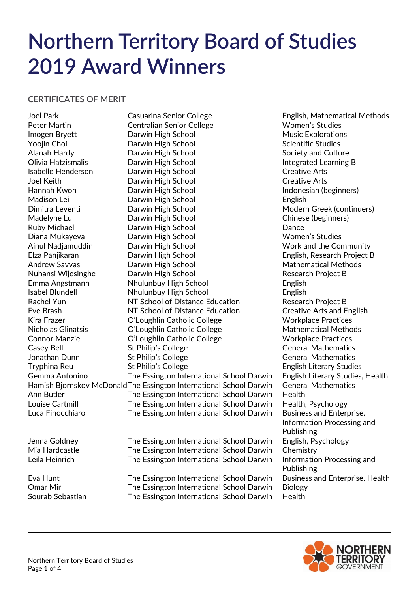# **Northern Territory Board of Studies 2019 Award Winners**

## **CERTIFICATES OF MERIT**

Joel Park Casuarina Senior College English, Mathematical Methods Peter Martin **Centralian Senior College** Women's Studies Imogen Bryett **Darwin High School** Music Explorations Yoojin Choi **Narwin High School** Choi Scientific Studies Alanah Hardy Darwin High School Society and Culture Olivia Hatzismalis **Darwin High School Collection** Integrated Learning B Isabelle Henderson Darwin High School Creative Arts Joel Keith Darwin High School Creative Arts Hannah Kwon **Darwin High School** Indonesian (beginners) Madison Lei Darwin High School English Dimitra Leventi Darwin High School Modern Greek (continuers) Madelyne Lu **Darwin High School** Chinese (beginners) Ruby Michael **Darwin High School** Dance Diana Mukayeva Darwin High School Women's Studies Ainul Nadjamuddin **Darwin High School** Nork and the Community Elza Panjikaran Darwin High School English, Research Project B Andrew Savvas **Mathematical Methods** Darwin High School **Mathematical Methods** Nuhansi Wijesinghe Marwin High School Nuhansi Mesearch Project B Emma Angstmann Nhulunbuy High School English Isabel Blundell Nhulunbuy High School English Rachel Yun NT School of Distance Education Research Project B Eve Brash NT School of Distance Education Creative Arts and English Kira Frazer **C'Loughlin Catholic College** Workplace Practices Nicholas Glinatsis O'Loughlin Catholic College Mathematical Methods Connor Manzie **Cannor College** Connor Manzie **College Workplace Practices** Casey Bell **St Philip's College** Casey Bell General Mathematics Jonathan Dunn **St Philip's College** General Mathematics Tryphina Reu Thilip's College English Literary Studies Gemma Antonino The Essington International School Darwin English Literary Studies, Health Hamish Bjornskov McDonaldThe Essington International School Darwin General Mathematics Ann Butler The Essington International School Darwin Health Louise Cartmill The Essington International School Darwin Health, Psychology Luca Finocchiaro The Essington International School Darwin Business and Enterprise, Jenna Goldney The Essington International School Darwin English, Psychology

Mia Hardcastle The Essington International School Darwin Chemistry Leila Heinrich The Essington International School Darwin Information Processing and

Omar Mir The Essington International School Darwin Biology Sourab Sebastian The Essington International School Darwin Health

Information Processing and Publishing Publishing Eva Hunt The Essington International School Darwin Business and Enterprise, Health

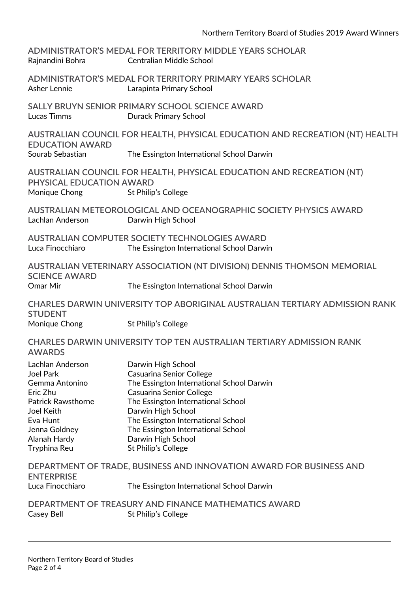| Rajnandini Bohra                          | ADMINISTRATOR'S MEDAL FOR TERRITORY MIDDLE YEARS SCHOLAR<br><b>Centralian Middle School</b>        |
|-------------------------------------------|----------------------------------------------------------------------------------------------------|
| Asher Lennie                              | ADMINISTRATOR'S MEDAL FOR TERRITORY PRIMARY YEARS SCHOLAR<br>Larapinta Primary School              |
| <b>Lucas Timms</b>                        | SALLY BRUYN SENIOR PRIMARY SCHOOL SCIENCE AWARD<br><b>Durack Primary School</b>                    |
| <b>EDUCATION AWARD</b>                    | AUSTRALIAN COUNCIL FOR HEALTH, PHYSICAL EDUCATION AND RECREATION (NT) HEALTH                       |
| Sourab Sebastian                          | The Essington International School Darwin                                                          |
| PHYSICAL EDUCATION AWARD<br>Monique Chong | AUSTRALIAN COUNCIL FOR HEALTH, PHYSICAL EDUCATION AND RECREATION (NT)<br>St Philip's College       |
| Lachlan Anderson                          | AUSTRALIAN METEOROLOGICAL AND OCEANOGRAPHIC SOCIETY PHYSICS AWARD<br>Darwin High School            |
| Luca Finocchiaro                          | <b>AUSTRALIAN COMPUTER SOCIETY TECHNOLOGIES AWARD</b><br>The Essington International School Darwin |
| <b>SCIENCE AWARD</b>                      | AUSTRALIAN VETERINARY ASSOCIATION (NT DIVISION) DENNIS THOMSON MEMORIAL                            |
| Omar Mir                                  | The Essington International School Darwin                                                          |
| <b>STUDENT</b>                            | CHARLES DARWIN UNIVERSITY TOP ABORIGINAL AUSTRALIAN TERTIARY ADMISSION RANK                        |
| Monique Chong                             | St Philip's College                                                                                |
| <b>AWARDS</b>                             | CHARLES DARWIN UNIVERSITY TOP TEN AUSTRALIAN TERTIARY ADMISSION RANK                               |
| Lachlan Anderson                          | Darwin High School                                                                                 |
| <b>Joel Park</b>                          | <b>Casuarina Senior College</b>                                                                    |
| Gemma Antonino<br>Eric Zhu                | The Essington International School Darwin<br>Casuarina Senior College                              |
| <b>Patrick Rawsthorne</b>                 | The Essington International School                                                                 |
| Joel Keith                                | Darwin High School                                                                                 |
| Eva Hunt                                  | The Essington International School                                                                 |
| Jenna Goldney                             | The Essington International School                                                                 |
| Alanah Hardy<br>Tryphina Reu              | Darwin High School<br>St Philip's College                                                          |
| <b>ENTERPRISE</b>                         | DEPARTMENT OF TRADE, BUSINESS AND INNOVATION AWARD FOR BUSINESS AND                                |
| Luca Finocchiaro                          | The Essington International School Darwin                                                          |
| Casey Bell                                | DEPARTMENT OF TREASURY AND FINANCE MATHEMATICS AWARD<br>St Philip's College                        |
|                                           |                                                                                                    |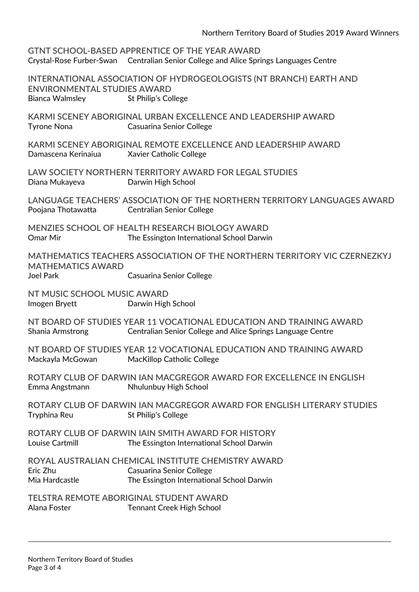|                                                       | <b>GTNT SCHOOL-BASED APPRENTICE OF THE YEAR AWARD</b><br>Crystal-Rose Furber-Swan Centralian Senior College and Alice Springs Languages Centre |
|-------------------------------------------------------|------------------------------------------------------------------------------------------------------------------------------------------------|
| <b>ENVIRONMENTAL STUDIES AWARD</b><br>Bianca Walmsley | INTERNATIONAL ASSOCIATION OF HYDROGEOLOGISTS (NT BRANCH) EARTH AND<br>St Philip's College                                                      |
| <b>Tyrone Nona</b>                                    | KARMI SCENEY ABORIGINAL URBAN EXCELLENCE AND LEADERSHIP AWARD<br><b>Casuarina Senior College</b>                                               |
| Damascena Kerinaiua                                   | KARMI SCENEY ABORIGINAL REMOTE EXCELLENCE AND LEADERSHIP AWARD<br>Xavier Catholic College                                                      |
| Diana Mukayeva                                        | LAW SOCIETY NORTHERN TERRITORY AWARD FOR LEGAL STUDIES<br>Darwin High School                                                                   |
| Poojana Thotawatta                                    | LANGUAGE TEACHERS' ASSOCIATION OF THE NORTHERN TERRITORY LANGUAGES AWARD<br><b>Centralian Senior College</b>                                   |
| Omar Mir                                              | <b>MENZIES SCHOOL OF HEALTH RESEARCH BIOLOGY AWARD</b><br>The Essington International School Darwin                                            |
| <b>MATHEMATICS AWARD</b><br><b>Joel Park</b>          | MATHEMATICS TEACHERS ASSOCIATION OF THE NORTHERN TERRITORY VIC CZERNEZKYJ<br>Casuarina Senior College                                          |
| NT MUSIC SCHOOL MUSIC AWARD<br>Imogen Bryett          | Darwin High School                                                                                                                             |
| Shania Armstrong                                      | NT BOARD OF STUDIES YEAR 11 VOCATIONAL EDUCATION AND TRAINING AWARD<br>Centralian Senior College and Alice Springs Language Centre             |
| Mackayla McGowan                                      | NT BOARD OF STUDIES YEAR 12 VOCATIONAL EDUCATION AND TRAINING AWARD<br>MacKillop Catholic College                                              |
| Emma Angstmann                                        | ROTARY CLUB OF DARWIN IAN MACGREGOR AWARD FOR EXCELLENCE IN ENGLISH<br>Nhulunbuy High School                                                   |
| Tryphina Reu                                          | ROTARY CLUB OF DARWIN IAN MACGREGOR AWARD FOR ENGLISH LITERARY STUDIES<br>St Philip's College                                                  |
| Louise Cartmill                                       | ROTARY CLUB OF DARWIN IAIN SMITH AWARD FOR HISTORY<br>The Essington International School Darwin                                                |
| Eric Zhu<br>Mia Hardcastle                            | ROYAL AUSTRALIAN CHEMICAL INSTITUTE CHEMISTRY AWARD<br>Casuarina Senior College<br>The Essington International School Darwin                   |
| Alana Foster                                          | <b>TELSTRA REMOTE ABORIGINAL STUDENT AWARD</b><br><b>Tennant Creek High School</b>                                                             |